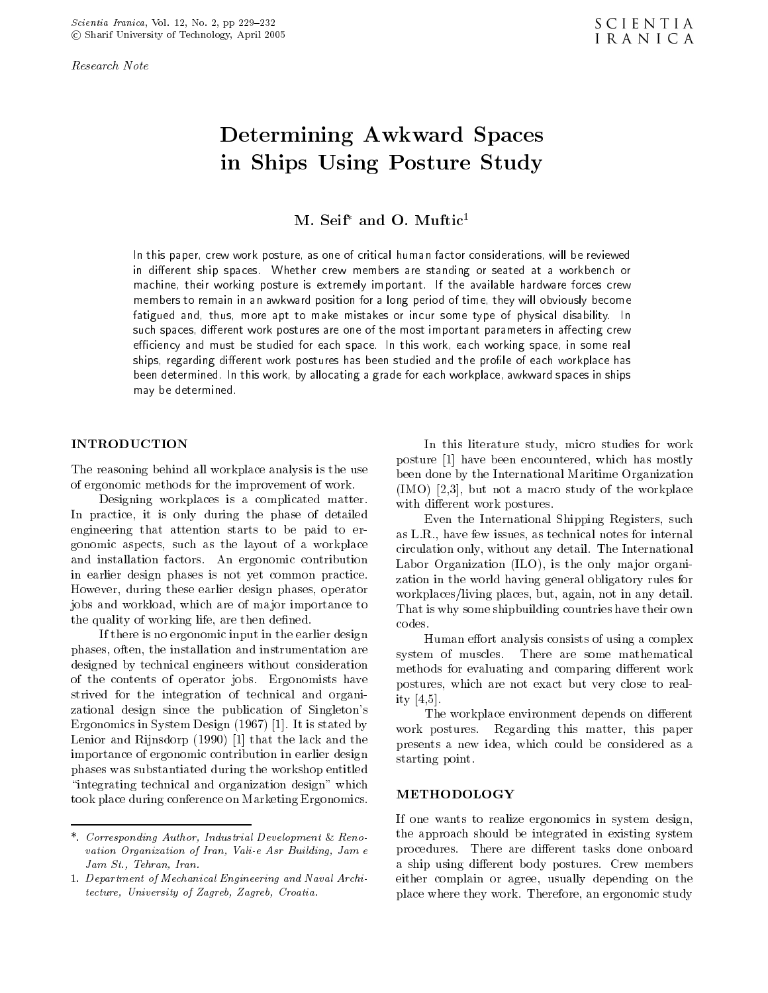Research Note

# Determining Awkward Spaces in Ships Using Posture Study

w. seif-and O. Muftic-

In this paper, crew work posture, as one of critical human factor considerations, will be reviewed in di-erent ship spaces Whether crew members are standing or seated at <sup>a</sup> workbench or machine their working posture is extremely important If the available hardware forces crew members to remain in an awkward position for a long period of time, they will obviously become fatigued and thus more apt to make mistakes or incur some type of physical disability In such spaces, unicient work postures are one of the most important parameters in anecting crew eciency and must be studied for each space In this work each working space in some real sinos. Tegarding different work postures has been studied and the prolife of each workplace has been determined In this work by allocating a grade for each workplace awkward spaces in ships may be determined

The reasoning behind all workplace analysis is the use of ergonomic methods for the improvement of work

Designing workplaces is a complicated matter In practice- it is only during the phase of detailed engineering that attention starts to be paid to er  $\mathbf{u}$  as the layout of a workplace  $\mathbf{u}$  as the layout of a workplace  $\mathbf{u}$ and installation factors An ergonomic contribution in earlier design phases is not yet common practice However- during these earlier design phases- operator jobs and workload- which are of ma jor importance to the contract of the contract of working life-then denote a series of working life-then denote a series of the

If there is no ergonomic input in the earlier design phases- often- the installation and instrumentation are designed by technical engineers without consideration of the contents of operator jobs Ergonomists have strived for the integration of technical and organi zational design since the publication of Singleton's  $\Box$  . The state is the system of  $\Box$  is the state of  $\Box$  . The state of  $\Box$  is the state of  $\Box$  is the state of  $\Box$ Lenior and Rijnsdorp  $(1990)$  [1] that the lack and the importance of ergonomic contribution in earlier design phases was substantiated during the workshop entitled "integrating technical and organization design" which took place during conference on Marketing Ergonomics

In this literature study- micro studies for work posture and provide the best defined and the mostly of the mostly of the state  $\mathcal{L}_{\mathcal{A}}$ been done by the International Maritime Organization  $\mathbf{I}$  is a matrix of the workplace study of the workplace  $\mathbf{I}$  is a matrix of the workplace study of the workplace  $\mathbf{I}$ with different work postures.

Even the International Shipping Registers- such as LR-internal notes for internal notes for internal notes for internal notes for internal notes for internal circulation only- without any detail The International Labor Organization ILO- is the only ma jor organi zation in the world having general obligatory rules for workplacesliving places- but- again- not in any detail That is why some shipbuilding countries have their own codes.

Human effort analysis consists of using a complex system of muscles. There are some mathematical methods for evaluating and comparing different work postures- which are not exact are not to really closed to really ity -

The workplace environment depends on different work postures and the postures regarding the paper of the paper of the paper of the paper of the paper of the p presents a new idea-de-could be complete as a new idea-de-could be considered as a new idea-de-could be considered as a set of the could be considered as a new idea-de-could be considered as a set of the could be considere starting point

#### METHODOLOGY

 either complain or agree- usually depending on the If one wants to realize ergonomics in system design, the approach should be integrated in existing system procedures. There are different tasks done onboard a ship using different body postures. Crew members place where they work Therefore- an ergonomic study

<sup>-</sup> Corresponding Author Industrial Development Renovation Organization of Iran Vali-e Asr Building Jam e  $Jam St., Tehran, Iran.$ 

<sup>-</sup> Department of Mechanical Engineering and Naval Architecture, University of Zagreb, Zagreb, Croatia.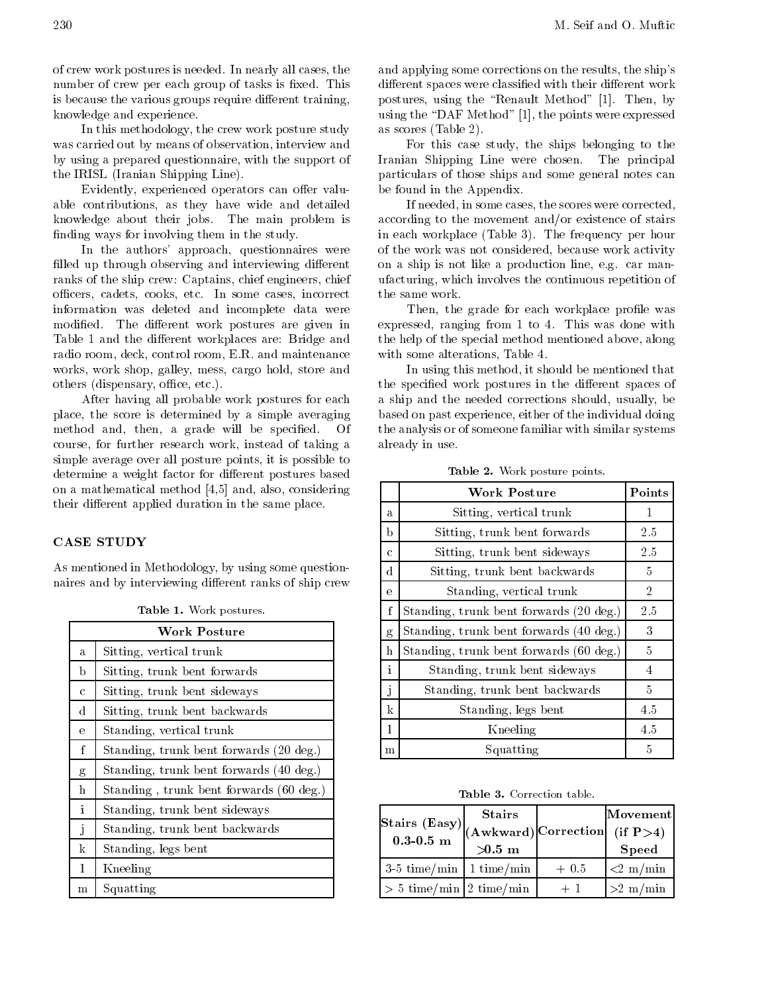of crew work postures is needed In nearly all cases- the number of crew per each group of tasks is fixed. This is because the various groups require different training, knowledge and experience

In this methodology- the crew work posture study was carried out by means of observation- interview and the control of  $\sim$ by using a prepared questionnaire- with the support of the IRISL (Iranian Shipping Line).

Evidently- experienced operators can oer valu able contributions-wide and details wide and detailed wide and detailed and detailed and detailed and detailed knowledge about their jobs The main problem is finding ways for involving them in the study.

In the authors approaches were authors approaches were authors approaches were approached to the authors were a filled up through observing and interviewing different ranks of the ship crew Captains- chief engineers- chief ocers-in some cases-incorrect cases-incorrect cases-incorrect casesinformation was deleted and incomplete data were modified. The different work postures are given in Table 1 and the different workplaces are: Bridge and radio room- deck- control room- ER and maintenance work shop- work shop- work shop- work shop- work shop- work shop- work shop- work shop- work shop- work shopothers disperse and the contract of the contract of the contract of the contract of the contract of the contract of the contract of the contract of the contract of the contract of the contract of the contract of the contra

After having all probable work postures for each place- the score is determined by a simple averaging averaging method and the species will be specificated with the specific of the specific of the specific of the specific of the specific of the specific of the specific of the specific of the specific of the specific of the specific course-instead of the further instead of the function  $\alpha$  and the function  $\alpha$ simple average over all posture points-points- pointsdetermine a weight factor for different postures based on a mathematical method and also-discovered method and also-discovered method and also-discovered method and their different applied duration in the same place.

#### **CASE STUDY**

As mentioned in Methodology- by using some question naires and by interviewing different ranks of ship crew

|              | <b>Work Posture</b>                     |
|--------------|-----------------------------------------|
| a.           | Sitting, vertical trunk                 |
| b            | Sitting, trunk bent forwards            |
| $\mathbf c$  | Sitting, trunk bent sideways            |
| d            | Sitting, trunk bent backwards           |
| $\mathbf{e}$ | Standing, vertical trunk                |
| $\mathbf{f}$ | Standing, trunk bent forwards (20 deg.) |
| g            | Standing, trunk bent forwards (40 deg.) |
| h            | Standing, trunk bent forwards (60 deg.) |
| $\mathbf{i}$ | Standing, trunk bent sideways           |
| j            | Standing, trunk bent backwards          |
| k            | Standing, legs bent                     |
| 1            | Kneeling                                |
| m            | Squatting                               |

and applying some corrections on the results-ships-ships-ships-ships-shipsdifferent spaces were classified with their different work postures- in the Renault Method is the Renault Method in the Renault Method in the Renault Method in the Renault Method in the Renault Method in the Renault Method in the Renault Method in the Renault Method in the Renault using the DAF Method and DAF Method and DAF Method and DAF Method and DAF Method and DAF Method and DAF Method as scores (Table 2).

For this case study- the ships belonging to the Iranian Shipping Line were chosen The principal particulars of those ships and some general notes can be found in the Appendix

If needed- in some cases- the scores were correctedaccording to the movement and/or existence of stairs in each workplace (Table 3). The frequency per hour of the work was not considered- because work activity on a ship is not like a production like  $\alpha$  and in a mann which is a continuous form in a continuous repetition of  $\alpha$ the same work

Then- the grade for each workplace prole was expressed-in from to This was done with the with the state with with  $\sim$ the help of the special method mentioned above- along with some alterations-with some alterations-with some alternations-with some alternations-with some alternations-

In this method  $\mathbf{f}$  is shown that methods that methods that methods that methods that methods that methods that methods that methods that methods that methods that methods that methods that methods that methods that m the specified work postures in the different spaces of a ship and the needed corrections shouldbased on the past experience of the individual doing the individual doing the individual doing the industry of the analysis or of someone familiar with similar systems already in use

|             | <b>Work Posture</b>                     | Points         |
|-------------|-----------------------------------------|----------------|
| a.          | Sitting, vertical trunk                 | 1              |
| b           | Sitting, trunk bent forwards            | 2.5            |
| $\mathbf c$ | Sitting, trunk bent sideways            | 2.5            |
| d           | Sitting, trunk bent backwards           | 5              |
| $\epsilon$  | Standing, vertical trunk                | $\overline{2}$ |
| f           | Standing, trunk bent forwards (20 deg.) | 2.5            |
| g           | Standing, trunk bent forwards (40 deg.) | 3              |
| h           | Standing, trunk bent forwards (60 deg.) | 5.             |
| i           | Standing, trunk bent sideways           | 4              |
| j           | Standing, trunk bent backwards          | 5              |
| k           | Standing, legs bent                     | 4.5            |
| 1           | Kneeling                                | 4.5            |
| m           | Squatting                               | 5              |

<u>- work points-points-</u>

|                                               | <b>Stairs</b> |        | Movement                  |  |
|-----------------------------------------------|---------------|--------|---------------------------|--|
| Stairs (Easy) $(Awkward)$ Correction (if P>4) |               |        |                           |  |
|                                               | $\gg$ .5 m    |        | <b>Speed</b>              |  |
| $3-5$ time/min   1 time/min                   |               | $+0.5$ | $\approx 2 \text{ m/min}$ |  |
| $> 5$ time/min 2 time/min                     |               | $+1$   | $>2$ m/min                |  |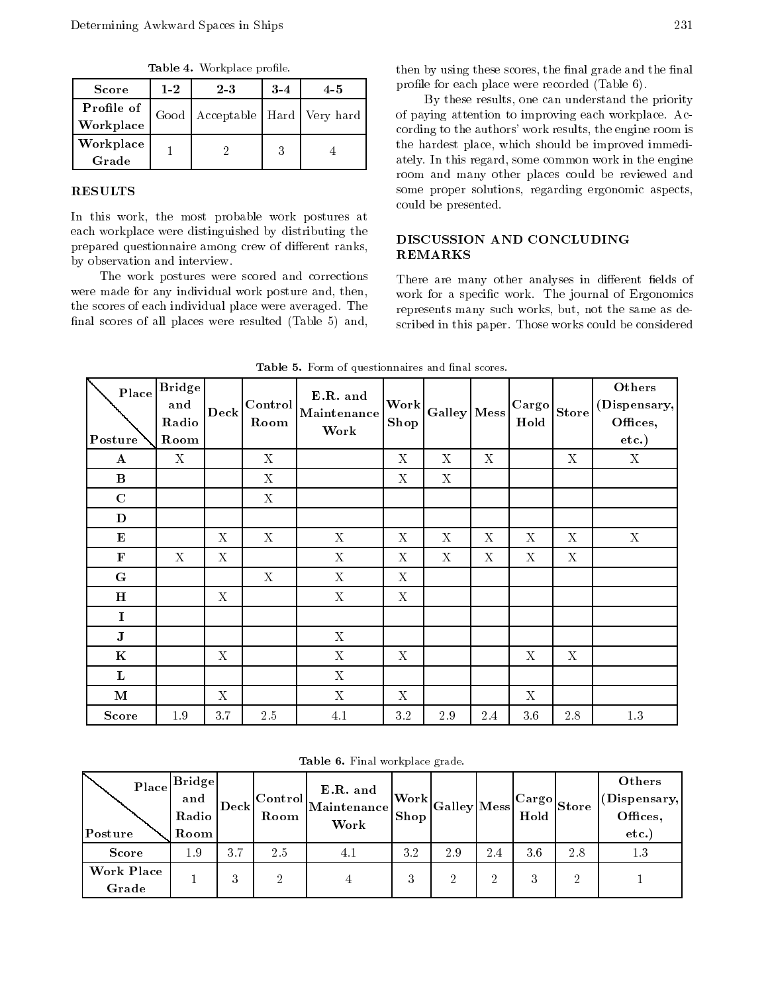Table - Workplace problems - Workplace problems - Workplace problems - Workplace problems - Workplace problems

| <b>Score</b> | $1 - 2$ | $2\,3$ | $3 - 4$ | 45                                   |  |
|--------------|---------|--------|---------|--------------------------------------|--|
| Profile of   |         |        |         | Good   Acceptable   Hard   Very hard |  |
| Workplace    |         |        |         |                                      |  |
| Workplace    |         |        |         |                                      |  |
| Grade        |         |        |         |                                      |  |

### RESULTS

In this work- the most probable work postures at each workplace were distinguished by distributing the prepared questionnaire among crew of different ranks, by observation and interview

The work postures were scored and corrections were made for any individual work posture and the made for any individual work posture andthe scores of each individual place were averaged. The final scores of all places were resulted  $(Table 5)$  and,

the second processes scores-the nature and the nature and the second second profile for each place were recorded (Table 6).

 $\mathcal{L}_{\mathcal{A}}$  results-the can understand the priority  $\mathcal{A}$ of paying attention to improving each workplace Ac cording to the authors work results- the engine room is the matter which places in the immediate immediate immediate immediate immediate immediate immediate immediate attely the this regarding the entire common work in the engines. room and many other places could be reviewed and some proper solutions- regarding ergonomic aspectscould be presented

# DISCUSSION AND CONCLUDING REMARKS

work for a specific work. The journal of Ergonomics scribed in this paper. Those works could be considered There are many other analyses in different fields of represents many such works- product works- the same as de

| Place<br>Posture | <b>Bridge</b><br>and<br>Radio<br>Room | <b>Deck</b> | Control<br>Room | E.R. and<br>Maintenance<br>Work | <b>Work</b><br>Shop       | Galley Mess |             | Cargo<br>$_{\rm Hold}$ | <b>Store</b>              | Others<br>(Dispensary,<br>Offices,<br>$etc.$ ) |
|------------------|---------------------------------------|-------------|-----------------|---------------------------------|---------------------------|-------------|-------------|------------------------|---------------------------|------------------------------------------------|
| $\bf A$          | $\mathbf X$                           |             | $\mathbf X$     |                                 | $\mathbf X$               | $\mathbf X$ | $\mathbf X$ |                        | $\mathbf X$               | $\mathbf X$                                    |
| $\bf{B}$         |                                       |             | $\mathbf X$     |                                 | $\boldsymbol{\mathrm{X}}$ | X           |             |                        |                           |                                                |
| $\mathbf C$      |                                       |             | $\mathbf X$     |                                 |                           |             |             |                        |                           |                                                |
| D                |                                       |             |                 |                                 |                           |             |             |                        |                           |                                                |
| ${\bf E}$        |                                       | X           | $\mathbf X$     | $\mathbf X$                     | $\mathbf X$               | X           | $\mathbf X$ | X                      | $\boldsymbol{\mathrm{X}}$ | $\mathbf X$                                    |
| $\mathbf F$      | $\mathbf{X}$                          | X           |                 | $\mathbf X$                     | X                         | X           | X           | $\mathbf X$            | X                         |                                                |
| G                |                                       |             | $\mathbf X$     | $\mathbf X$                     | $\mathbf X$               |             |             |                        |                           |                                                |
| H                |                                       | $\mathbf X$ |                 | $\mathbf X$                     | $\mathbf X$               |             |             |                        |                           |                                                |
| $\mathbf I$      |                                       |             |                 |                                 |                           |             |             |                        |                           |                                                |
| ${\bf J}$        |                                       |             |                 | $\mathbf X$                     |                           |             |             |                        |                           |                                                |
| $\bf K$          |                                       | $\mathbf X$ |                 | $\mathbf X$                     | X                         |             |             | $\mathbf X$            | $\mathbf X$               |                                                |
| $\mathbf{L}$     |                                       |             |                 | $\mathbf X$                     |                           |             |             |                        |                           |                                                |
| $\mathbf M$      |                                       | X           |                 | $\mathbf X$                     | X                         |             |             | X                      |                           |                                                |
| <b>Score</b>     | 1.9                                   | 3.7         | 2.5             | $4.1\,$                         | 3.2                       | $2.9\,$     | 2.4         | $3.6\,$                | $2.8\,$                   | $1.3\,$                                        |

Table - Form of questionnaires and nal scores-

| Table 6. Final workplace grade. |  |  |
|---------------------------------|--|--|
|---------------------------------|--|--|

| Place<br>Posture    | $\lfloor$ Bridge $\rfloor$<br>and<br>Radio<br>Room | Deck | Room | E.R. and<br>$_{\sim}$ L $\rm \vert \rm Control \vert$ Maintenance $\vert$<br>Work | <b>Shop</b> | $\sim$ Work Galley Mess   $\sim$ |     | Hold | $ {\rm Cargo} _{\rm Store}$   $\vee$ | Others<br>(Dispensary,<br>Offices,<br>etc. |  |
|---------------------|----------------------------------------------------|------|------|-----------------------------------------------------------------------------------|-------------|----------------------------------|-----|------|--------------------------------------|--------------------------------------------|--|
| <b>Score</b>        | $1.9\,$                                            | 3.7  | 2.5  | 4.1                                                                               | 3.2         | 2.9                              | 2.4 | 3.6  | 2.8                                  | 1.3                                        |  |
| Work Place<br>Grade |                                                    | 3    | າ    |                                                                                   | 3           | റ                                | ച   | 3    | ച                                    |                                            |  |